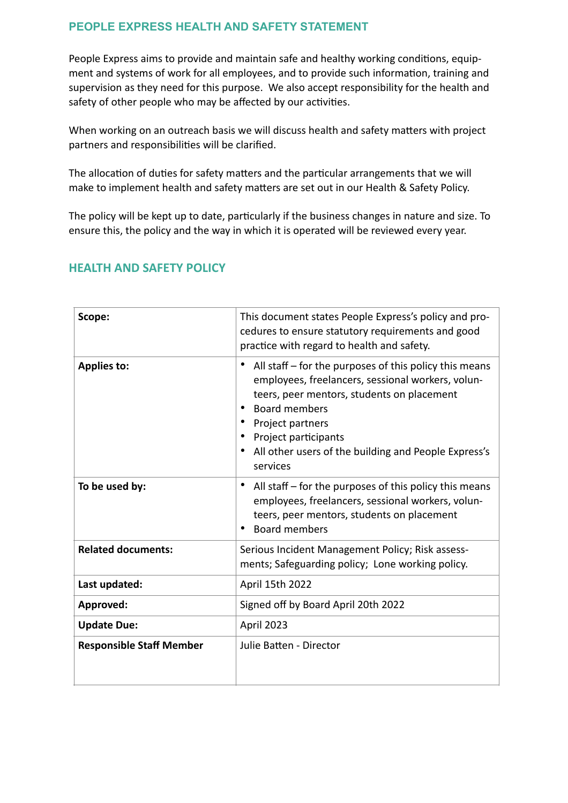# **PEOPLE EXPRESS HEALTH AND SAFETY STATEMENT**

People Express aims to provide and maintain safe and healthy working conditions, equipment and systems of work for all employees, and to provide such information, training and supervision as they need for this purpose. We also accept responsibility for the health and safety of other people who may be affected by our activities.

When working on an outreach basis we will discuss health and safety matters with project partners and responsibilities will be clarified.

The allocation of duties for safety matters and the particular arrangements that we will make to implement health and safety matters are set out in our Health & Safety Policy.

The policy will be kept up to date, particularly if the business changes in nature and size. To ensure this, the policy and the way in which it is operated will be reviewed every year.

| Scope:                          | This document states People Express's policy and pro-<br>cedures to ensure statutory requirements and good<br>practice with regard to health and safety.                                                                                                                                              |  |
|---------------------------------|-------------------------------------------------------------------------------------------------------------------------------------------------------------------------------------------------------------------------------------------------------------------------------------------------------|--|
| <b>Applies to:</b>              | All staff $-$ for the purposes of this policy this means<br>employees, freelancers, sessional workers, volun-<br>teers, peer mentors, students on placement<br><b>Board members</b><br>Project partners<br>• Project participants<br>All other users of the building and People Express's<br>services |  |
| To be used by:                  | All staff – for the purposes of this policy this means<br>employees, freelancers, sessional workers, volun-<br>teers, peer mentors, students on placement<br><b>Board members</b>                                                                                                                     |  |
| <b>Related documents:</b>       | Serious Incident Management Policy; Risk assess-<br>ments; Safeguarding policy; Lone working policy.                                                                                                                                                                                                  |  |
| Last updated:                   | April 15th 2022                                                                                                                                                                                                                                                                                       |  |
| Approved:                       | Signed off by Board April 20th 2022                                                                                                                                                                                                                                                                   |  |
| <b>Update Due:</b>              | April 2023                                                                                                                                                                                                                                                                                            |  |
| <b>Responsible Staff Member</b> | Julie Batten - Director                                                                                                                                                                                                                                                                               |  |

## **HEALTH AND SAFETY POLICY**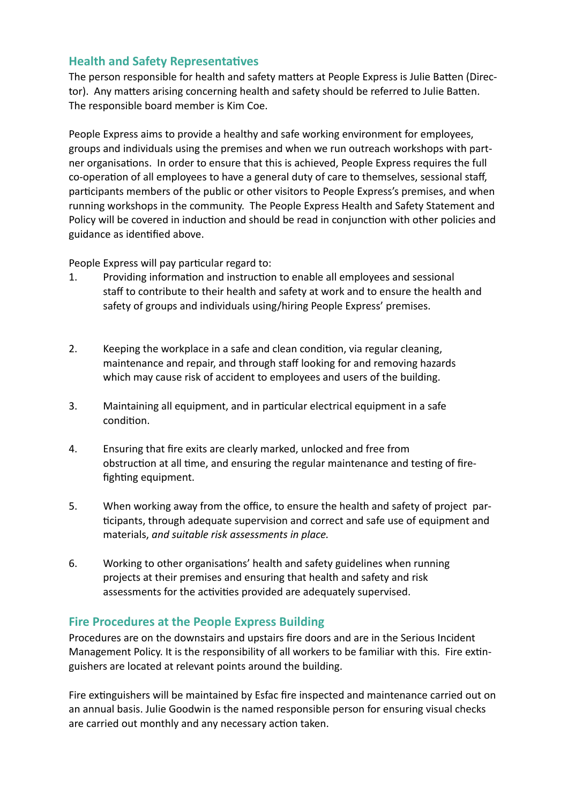# **Health and Safety Representatives**

The person responsible for health and safety matters at People Express is Julie Batten (Director). Any matters arising concerning health and safety should be referred to Julie Batten. The responsible board member is Kim Coe.

People Express aims to provide a healthy and safe working environment for employees, groups and individuals using the premises and when we run outreach workshops with partner organisations. In order to ensure that this is achieved, People Express requires the full co-operation of all employees to have a general duty of care to themselves, sessional staff, participants members of the public or other visitors to People Express's premises, and when running workshops in the community. The People Express Health and Safety Statement and Policy will be covered in induction and should be read in conjunction with other policies and guidance as identified above.

People Express will pay particular regard to:

- 1. Providing information and instruction to enable all employees and sessional staff to contribute to their health and safety at work and to ensure the health and safety of groups and individuals using/hiring People Express' premises.
- 2. Keeping the workplace in a safe and clean condition, via regular cleaning, maintenance and repair, and through staff looking for and removing hazards which may cause risk of accident to employees and users of the building.
- 3. Maintaining all equipment, and in particular electrical equipment in a safe condition.
- 4. Ensuring that fire exits are clearly marked, unlocked and free from obstruction at all time, and ensuring the regular maintenance and testing of firefighting equipment.
- 5. When working away from the office, to ensure the health and safety of project participants, through adequate supervision and correct and safe use of equipment and materials, *and suitable risk assessments in place.*
- 6. Working to other organisations' health and safety guidelines when running projects at their premises and ensuring that health and safety and risk assessments for the activities provided are adequately supervised.

## **Fire Procedures at the People Express Building**

Procedures are on the downstairs and upstairs fire doors and are in the Serious Incident Management Policy. It is the responsibility of all workers to be familiar with this. Fire extinguishers are located at relevant points around the building.

Fire extinguishers will be maintained by Esfac fire inspected and maintenance carried out on an annual basis. Julie Goodwin is the named responsible person for ensuring visual checks are carried out monthly and any necessary action taken.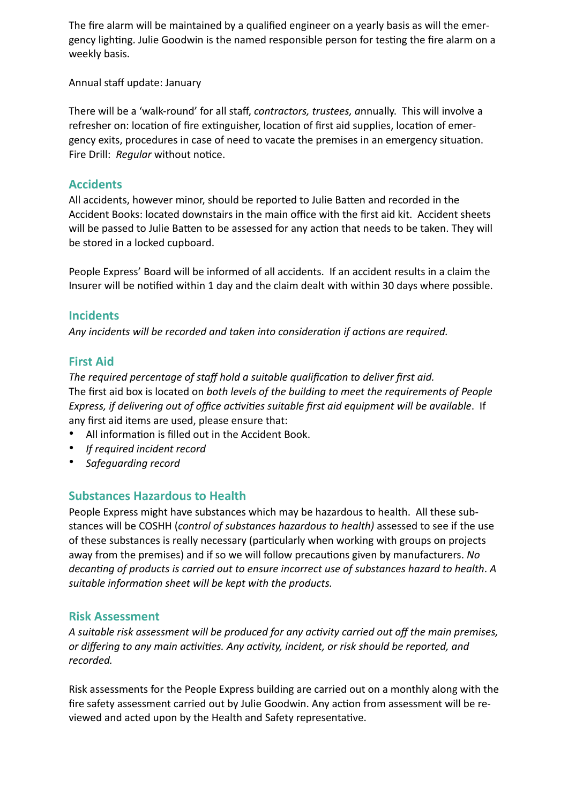The fire alarm will be maintained by a qualified engineer on a yearly basis as will the emergency lighting. Julie Goodwin is the named responsible person for testing the fire alarm on a weekly basis.

Annual staff update: January

There will be a 'walk-round' for all staff, *contractors, trustees, a*nnually. This will involve a refresher on: location of fire extinguisher, location of first aid supplies, location of emergency exits, procedures in case of need to vacate the premises in an emergency situation. Fire Drill: *Regular* without notice.

## **Accidents**

All accidents, however minor, should be reported to Julie Batten and recorded in the Accident Books: located downstairs in the main office with the first aid kit. Accident sheets will be passed to Julie Batten to be assessed for any action that needs to be taken. They will be stored in a locked cupboard.

People Express' Board will be informed of all accidents. If an accident results in a claim the Insurer will be notified within 1 day and the claim dealt with within 30 days where possible.

### **Incidents**

*Any incidents will be recorded and taken into consideration if actions are required.*

## **First Aid**

*The required percentage of staff hold a suitable qualification to deliver first aid.* The first aid box is located on *both levels of the building to meet the requirements of People Express, if delivering out of office activities suitable first aid equipment will be available*. If any first aid items are used, please ensure that:

- All information is filled out in the Accident Book.
- *If required incident record*
- *Safeguarding record*

## **Substances Hazardous to Health**

People Express might have substances which may be hazardous to health. All these substances will be COSHH (*control of substances hazardous to health)* assessed to see if the use of these substances is really necessary (particularly when working with groups on projects away from the premises) and if so we will follow precautions given by manufacturers. *No decanting of products is carried out to ensure incorrect use of substances hazard to health*. *A suitable information sheet will be kept with the products.*

#### **Risk Assessment**

*A suitable risk assessment will be produced for any activity carried out off the main premises, or differing to any main activities. Any activity, incident, or risk should be reported, and recorded.*

Risk assessments for the People Express building are carried out on a monthly along with the fire safety assessment carried out by Julie Goodwin. Any action from assessment will be reviewed and acted upon by the Health and Safety representative.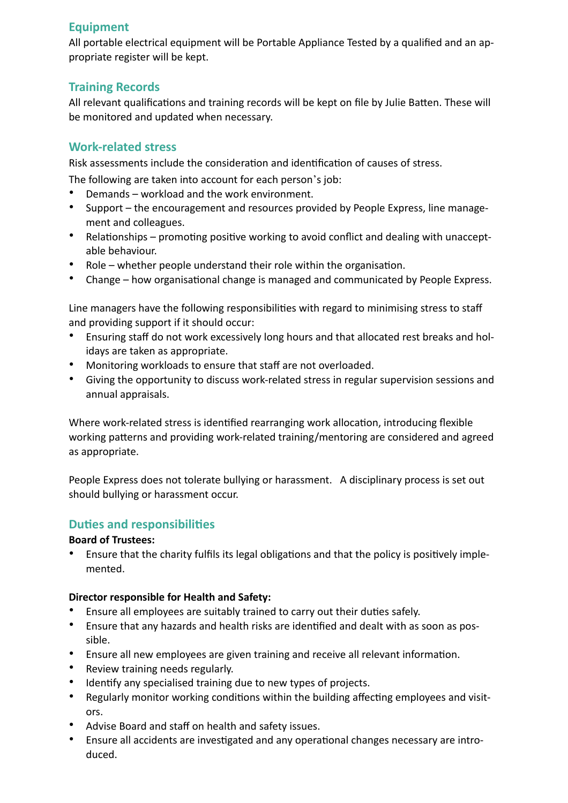# **Equipment**

All portable electrical equipment will be Portable Appliance Tested by a qualified and an appropriate register will be kept.

# **Training Records**

All relevant qualifications and training records will be kept on file by Julie Batten. These will be monitored and updated when necessary.

# **Work-related stress**

Risk assessments include the consideration and identification of causes of stress.

The following are taken into account for each person's job:

- Demands workload and the work environment.
- Support the encouragement and resources provided by People Express, line management and colleagues.
- Relationships promoting positive working to avoid conflict and dealing with unacceptable behaviour.
- Role whether people understand their role within the organisation.
- Change how organisational change is managed and communicated by People Express.

Line managers have the following responsibilities with regard to minimising stress to staff and providing support if it should occur:

- Ensuring staff do not work excessively long hours and that allocated rest breaks and holidays are taken as appropriate.
- Monitoring workloads to ensure that staff are not overloaded.
- Giving the opportunity to discuss work-related stress in regular supervision sessions and annual appraisals.

Where work-related stress is identified rearranging work allocation, introducing flexible working patterns and providing work-related training/mentoring are considered and agreed as appropriate.

People Express does not tolerate bullying or harassment. A disciplinary process is set out should bullying or harassment occur.

# **Duties and responsibilities**

#### **Board of Trustees:**

• Ensure that the charity fulfils its legal obligations and that the policy is positively implemented.

#### **Director responsible for Health and Safety:**

- Ensure all employees are suitably trained to carry out their duties safely.
- Ensure that any hazards and health risks are identified and dealt with as soon as possible.
- Ensure all new employees are given training and receive all relevant information.
- Review training needs regularly.
- Identify any specialised training due to new types of projects.
- Regularly monitor working conditions within the building affecting employees and visitors.
- Advise Board and staff on health and safety issues.
- Ensure all accidents are investigated and any operational changes necessary are introduced.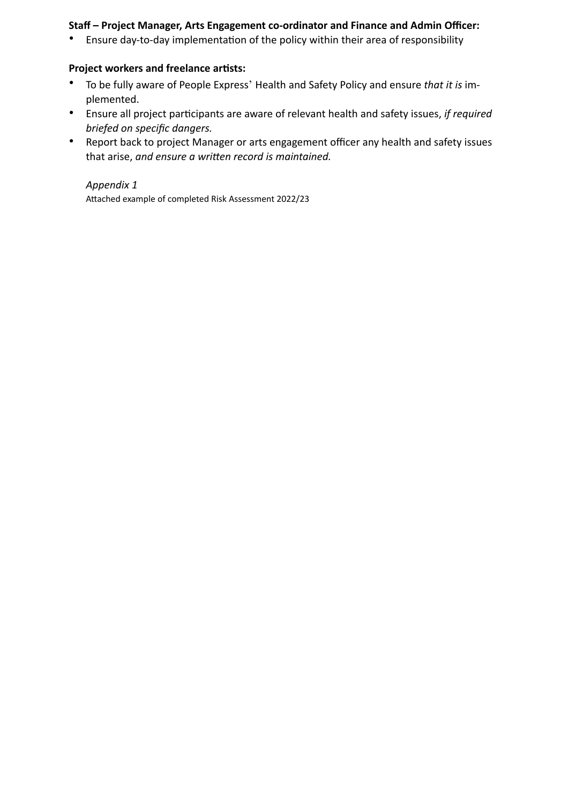#### **Staff – Project Manager, Arts Engagement co-ordinator and Finance and Admin Officer:**

• Ensure day-to-day implementation of the policy within their area of responsibility

#### **Project workers and freelance artists:**

- To be fully aware of People Express' Health and Safety Policy and ensure *that it is* implemented.
- Ensure all project participants are aware of relevant health and safety issues, *if required briefed on specific dangers.*
- Report back to project Manager or arts engagement officer any health and safety issues that arise, *and ensure a written record is maintained.*

*Appendix 1*

Attached example of completed Risk Assessment 2022/23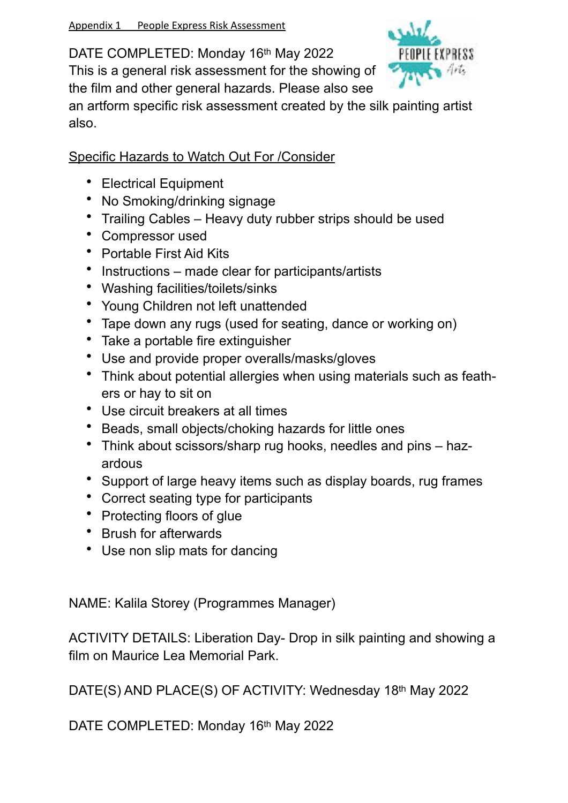DATE COMPLETED: Monday 16th May 2022

This is a general risk assessment for the showing of the film and other general hazards. Please also see



an artform specific risk assessment created by the silk painting artist also.

Specific Hazards to Watch Out For /Consider

- Electrical Equipment
- No Smoking/drinking signage
- Trailing Cables Heavy duty rubber strips should be used
- Compressor used
- Portable First Aid Kits
- Instructions made clear for participants/artists
- Washing facilities/toilets/sinks
- Young Children not left unattended
- Tape down any rugs (used for seating, dance or working on)
- Take a portable fire extinguisher
- Use and provide proper overalls/masks/gloves
- Think about potential allergies when using materials such as feathers or hay to sit on
- Use circuit breakers at all times
- Beads, small objects/choking hazards for little ones
- Think about scissors/sharp rug hooks, needles and pins hazardous
- Support of large heavy items such as display boards, rug frames
- Correct seating type for participants
- Protecting floors of glue
- Brush for afterwards
- Use non slip mats for dancing

NAME: Kalila Storey (Programmes Manager)

ACTIVITY DETAILS: Liberation Day- Drop in silk painting and showing a film on Maurice Lea Memorial Park.

DATE(S) AND PLACE(S) OF ACTIVITY: Wednesday 18th May 2022

DATE COMPLETED: Monday 16th May 2022